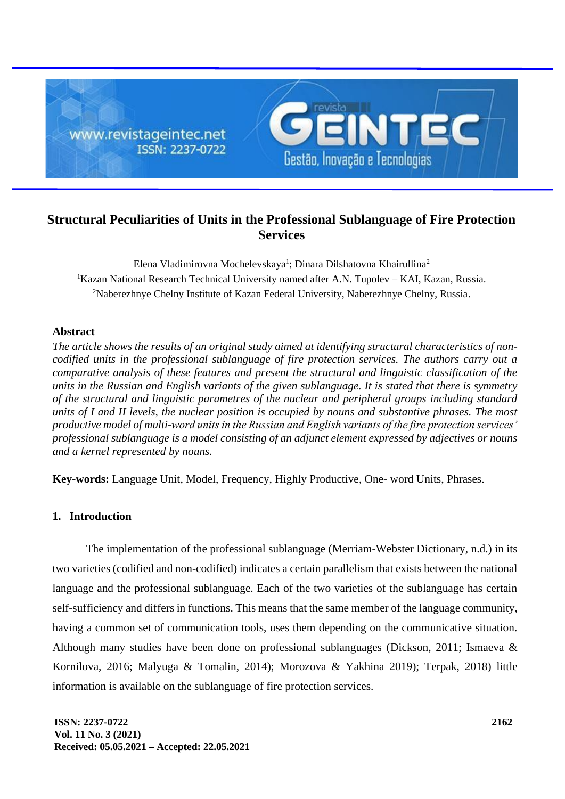

# **Structural Peculiarities of Units in the Professional Sublanguage of Fire Protection Services**

Elena Vladimirovna Mochelevskaya<sup>1</sup>; Dinara Dilshatovna Khairullina<sup>2</sup>  ${}^{1}$ Kazan National Research Technical University named after A.N. Tupolev – KAI, Kazan, Russia. <sup>2</sup>Naberezhnye Chelny Institute of Kazan Federal University, Naberezhnye Chelny, Russia.

## **Abstract**

*The article shows the results of an original study aimed at identifying structural characteristics of noncodified units in the professional sublanguage of fire protection services. The authors carry out a comparative analysis of these features and present the structural and linguistic classification of the units in the Russian and English variants of the given sublanguage. It is stated that there is symmetry of the structural and linguistic parametres of the nuclear and peripheral groups including standard units of I and II levels, the nuclear position is occupied by nouns and substantive phrases. The most productive model of multi-word units in the Russian and English variants of the fire protection services' professional sublanguage is a model consisting of an adjunct element expressed by adjectives or nouns and a kernel represented by nouns.*

**Key-words:** Language Unit, Model, Frequency, Highly Productive, One- word Units, Phrases.

# **1. Introduction**

The implementation of the professional sublanguage (Merriam-Webster Dictionary, n.d.) in its two varieties (codified and non-codified) indicates a certain parallelism that exists between the national language and the professional sublanguage. Each of the two varieties of the sublanguage has certain self-sufficiency and differs in functions. This means that the same member of the language community, having a common set of communication tools, uses them depending on the communicative situation. Although many studies have been done on professional sublanguages (Dickson, 2011; Ismaeva & Kornilova, 2016; Malyuga & Tomalin, 2014); Morozova & Yakhina 2019); Terpak, 2018) little information is available on the sublanguage of fire protection services.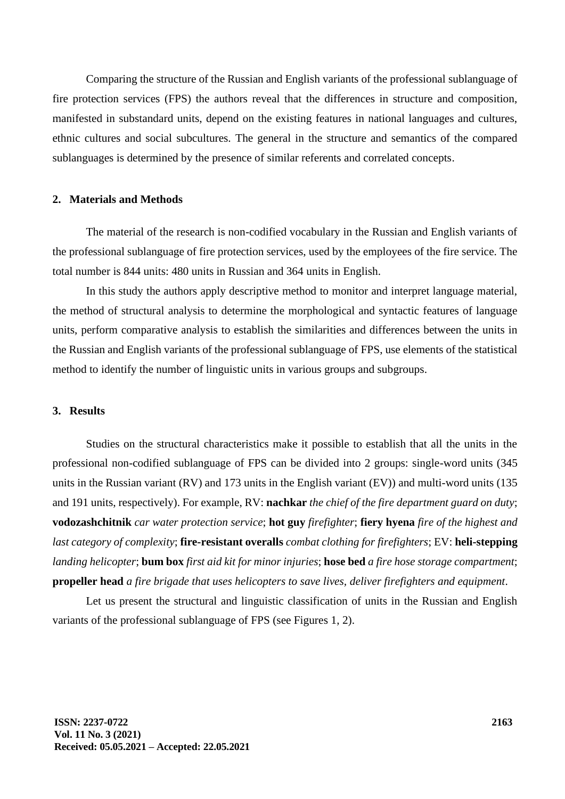Comparing the structure of the Russian and English variants of the professional sublanguage of fire protection services (FPS) the authors reveal that the differences in structure and composition, manifested in substandard units, depend on the existing features in national languages and cultures, ethnic cultures and social subcultures. The general in the structure and semantics of the compared sublanguages is determined by the presence of similar referents and correlated concepts.

#### **2. Materials and Methods**

The material of the research is non-codified vocabulary in the Russian and English variants of the professional sublanguage of fire protection services, used by the employees of the fire service. The total number is 844 units: 480 units in Russian and 364 units in English.

In this study the authors apply descriptive method to monitor and interpret language material, the method of structural analysis to determine the morphological and syntactic features of language units, perform comparative analysis to establish the similarities and differences between the units in the Russian and English variants of the professional sublanguage of FPS, use elements of the statistical method to identify the number of linguistic units in various groups and subgroups.

#### **3. Results**

Studies on the structural characteristics make it possible to establish that all the units in the professional non-codified sublanguage of FPS can be divided into 2 groups: single-word units (345 units in the Russian variant (RV) and 173 units in the English variant (EV)) and multi-word units (135 and 191 units, respectively). For example, RV: **nachkar** *the chief of the fire department guard on duty*; **vodozashchitnik** *car water protection service*; **hot guy** *firefighter*; **fiery hyena** *fire of the highest and last category of complexity*; **fire-resistant overalls** *combat clothing for firefighters*; EV: **heli-stepping** *landing helicopter*; **bum box** *first aid kit for minor injuries*; **hose bed** *a fire hose storage compartment*; **propeller head** *a fire brigade that uses helicopters to save lives, deliver firefighters and equipment*.

Let us present the structural and linguistic classification of units in the Russian and English variants of the professional sublanguage of FPS (see Figures 1, 2).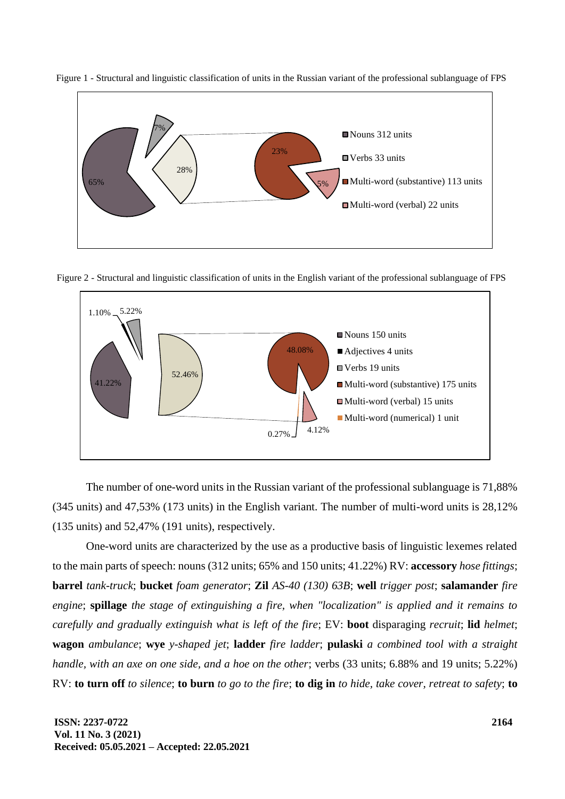

Figure 1 - Structural and linguistic classification of units in the Russian variant of the professional sublanguage of FPS

Figure 2 - Structural and linguistic classification of units in the English variant of the professional sublanguage of FPS



The number of one-word units in the Russian variant of the professional sublanguage is 71,88% (345 units) and 47,53% (173 units) in the English variant. The number of multi-word units is 28,12% (135 units) and 52,47% (191 units), respectively.

One-word units are characterized by the use as a productive basis of linguistic lexemes related to the main parts of speech: nouns (312 units; 65% and 150 units; 41.22%) RV: **accessory** *hose fittings*; **barrel** *tank-truck*; **bucket** *foam generator*; **Zil** *AS-40 (130) 63B*; **well** *trigger post*; **salamander** *fire engine*; **spillage** *the stage of extinguishing a fire, when "localization" is applied and it remains to carefully and gradually extinguish what is left of the fire*; EV: **boot** disparaging *recruit*; **lid** *helmet*; **wagon** *ambulance*; **wye** *y-shaped jet*; **ladder** *fire ladder*; **pulaski** *a combined tool with a straight handle, with an axe on one side, and a hoe on the other*; verbs (33 units; 6.88% and 19 units; 5.22%) RV: **to turn off** *to silence*; **to burn** *to go to the fire*; **to dig in** *to hide, take cover, retreat to safety*; **to**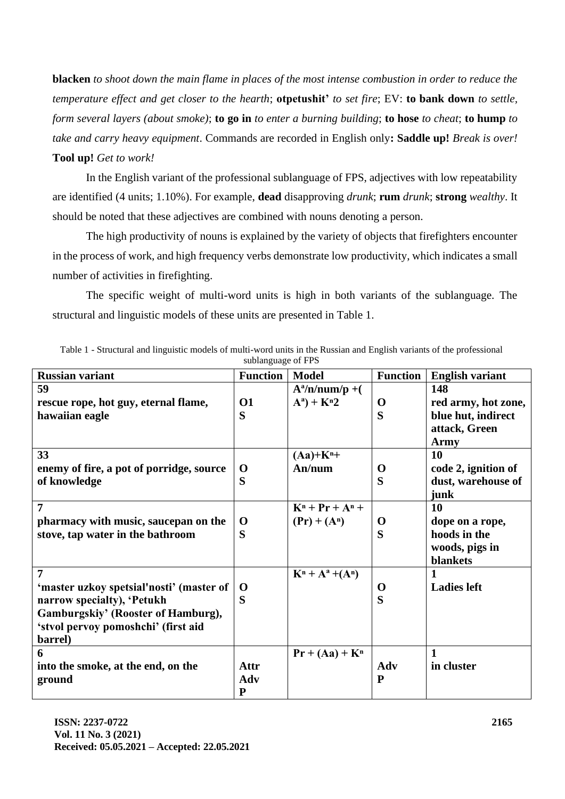**blacken** *to shoot down the main flame in places of the most intense combustion in order to reduce the temperature effect and get closer to the hearth*; **otpetushit'** *to set fire*; EV: **to bank down** *to settle, form several layers (about smoke)*; **to go in** *to enter a burning building*; **to hose** *to cheat*; **to hump** *to take and carry heavy equipment*. Commands are recorded in English only**: Saddle up!** *Break is over!* **Tool up!** *Get to work!*

In the English variant of the professional sublanguage of FPS, adjectives with low repeatability are identified (4 units; 1.10%). For example, **dead** disapproving *drunk*; **rum** *drunk*; **strong** *wealthy*. It should be noted that these adjectives are combined with nouns denoting a person.

The high productivity of nouns is explained by the variety of objects that firefighters encounter in the process of work, and high frequency verbs demonstrate low productivity, which indicates a small number of activities in firefighting.

The specific weight of multi-word units is high in both variants of the sublanguage. The structural and linguistic models of these units are presented in Table 1.

| <b>Russian variant</b>                   | <b>Function</b> | <b>Model</b>           | <b>Function</b> | <b>English variant</b> |
|------------------------------------------|-----------------|------------------------|-----------------|------------------------|
| 59                                       |                 | $A^a/n/num/p + ($      |                 | 148                    |
| rescue rope, hot guy, eternal flame,     | <b>O1</b>       | $A^a$ ) + $K^a2$       | $\mathbf 0$     | red army, hot zone,    |
| hawaiian eagle                           | S               |                        | S               | blue hut, indirect     |
|                                          |                 |                        |                 | attack, Green          |
|                                          |                 |                        |                 | Army                   |
| 33                                       |                 | $(Aa)+Kn+$             |                 | <b>10</b>              |
| enemy of fire, a pot of porridge, source | O               | An/num                 | $\bf{O}$        | code 2, ignition of    |
| of knowledge                             | S               |                        | S               | dust, warehouse of     |
|                                          |                 |                        |                 | junk                   |
| $\overline{7}$                           |                 | $K^n$ + $Pr$ + $A^n$ + |                 | 10                     |
| pharmacy with music, saucepan on the     | O               | $(Pr) + (A^n)$         | $\mathbf 0$     | dope on a rope,        |
| stove, tap water in the bathroom         | S               |                        | S               | hoods in the           |
|                                          |                 |                        |                 | woods, pigs in         |
|                                          |                 |                        |                 | blankets               |
| $\overline{7}$                           |                 | $K^n + A^a + (A^n)$    |                 | 1                      |
| 'master uzkoy spetsial'nosti' (master of | $\mathbf 0$     |                        | $\mathbf 0$     | <b>Ladies left</b>     |
| narrow specialty), 'Petukh               | S               |                        | S               |                        |
| Gamburgskiy' (Rooster of Hamburg),       |                 |                        |                 |                        |
| 'stvol pervoy pomoshchi' (first aid      |                 |                        |                 |                        |
| barrel)                                  |                 |                        |                 |                        |
| 6                                        |                 | $Pr + (Aa) + K^n$      |                 | $\mathbf{1}$           |
| into the smoke, at the end, on the       | Attr            |                        | Adv             | in cluster             |
| ground                                   | Adv             |                        | ${\bf P}$       |                        |
|                                          | P               |                        |                 |                        |

Table 1 - Structural and linguistic models of multi-word units in the Russian and English variants of the professional sublanguage of FPS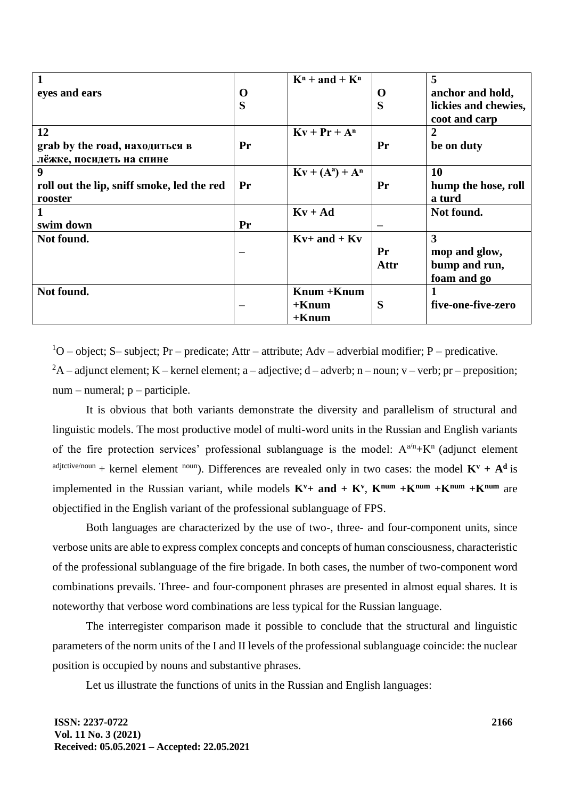| 1                                          |          | $Kn$ + and + $Kn$      |             | 5                    |
|--------------------------------------------|----------|------------------------|-------------|----------------------|
| eyes and ears                              | $\bf{0}$ |                        | $\mathbf 0$ | anchor and hold,     |
|                                            | S        |                        | S           | lickies and chewies, |
|                                            |          |                        |             | coot and carp        |
| 12                                         |          | $Kv + Pr + Ar$         |             | 2                    |
| grab by the road, находиться в             | Pr       |                        | Pr          | be on duty           |
| лёжке, посидеть на спине                   |          |                        |             |                      |
| 9                                          |          | $Kv + (A^{a}) + A^{n}$ |             | 10                   |
| roll out the lip, sniff smoke, led the red | Pr       |                        | Pr          | hump the hose, roll  |
| rooster                                    |          |                        |             | a turd               |
|                                            |          | $Kv + Ad$              |             | Not found.           |
| swim down                                  | Pr       |                        |             |                      |
| Not found.                                 |          | $Kv+$ and $+$ $Kv$     |             | 3                    |
|                                            |          |                        | Pr          | mop and glow,        |
|                                            |          |                        | Attr        | bump and run,        |
|                                            |          |                        |             | foam and go          |
| Not found.                                 |          | $Knum + Knum$          |             |                      |
|                                            |          | $+$ Knum               | S           | five-one-five-zero   |
|                                            |          | $+$ Knum               |             |                      |

 $10$  – object; S– subject; Pr – predicate; Attr – attribute; Adv – adverbial modifier; P – predicative.

 ${}^{2}A$  – adjunct element; K – kernel element; a – adjective; d – adverb; n – noun; v – verb; pr – preposition; num – numeral; p – participle.

It is obvious that both variants demonstrate the diversity and parallelism of structural and linguistic models. The most productive model of multi-word units in the Russian and English variants of the fire protection services' professional sublanguage is the model:  $A^{a/n}+K^n$  (adjunct element adjtctive/noun + kernel element noun). Differences are revealed only in two cases: the model  $K^v + A^d$  is implemented in the Russian variant, while models  $K^v$ + and +  $K^v$ ,  $K^{num}$  + $K^{num}$  + $K^{num}$  are objectified in the English variant of the professional sublanguage of FPS.

Both languages are characterized by the use of two-, three- and four-component units, since verbose units are able to express complex concepts and concepts of human consciousness, characteristic of the professional sublanguage of the fire brigade. In both cases, the number of two-component word combinations prevails. Three- and four-component phrases are presented in almost equal shares. It is noteworthy that verbose word combinations are less typical for the Russian language.

The interregister comparison made it possible to conclude that the structural and linguistic parameters of the norm units of the I and II levels of the professional sublanguage coincide: the nuclear position is occupied by nouns and substantive phrases.

Let us illustrate the functions of units in the Russian and English languages: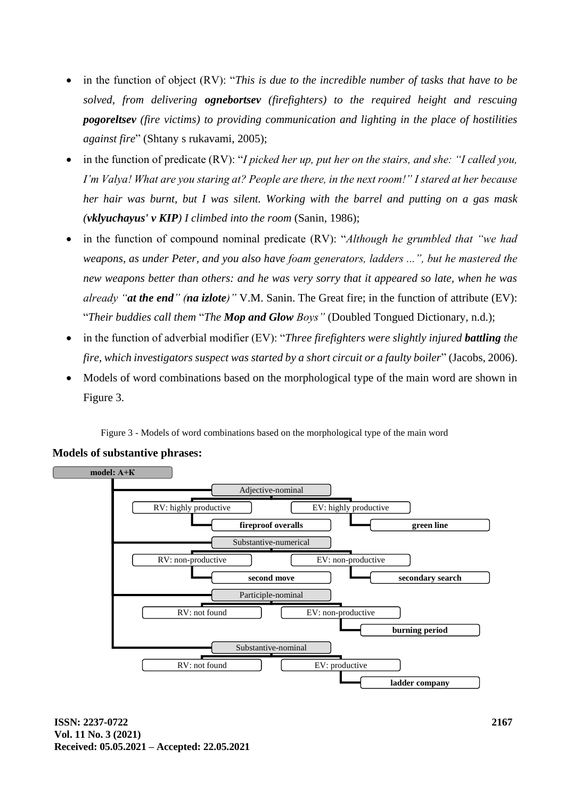- in the function of object (RV): "*This is due to the incredible number of tasks that have to be solved, from delivering ognebortsev (firefighters) to the required height and rescuing pogoreltsev (fire victims) to providing communication and lighting in the place of hostilities against fire*" (Shtany s rukavami, 2005);
- in the function of predicate (RV): "*I picked her up, put her on the stairs, and she: "I called you, I'm Valya! What are you staring at? People are there, in the next room!" I stared at her because her hair was burnt, but I was silent. Working with the barrel and putting on a gas mask (vklyuchayus' v KIP) I climbed into the room* (Sanin, 1986);
- in the function of compound nominal predicate (RV): "*Although he grumbled that "we had weapons, as under Peter, and you also have foam generators, ladders ...", but he mastered the new weapons better than others: and he was very sorry that it appeared so late, when he was already "at the end" (na izlote)"* V.M. Sanin. The Great fire; in the function of attribute (EV): "*Their buddies call them* "*The Mop and Glow Boys"* (Doubled Tongued Dictionary, n.d.);
- in the function of adverbial modifier (EV): "*Three firefighters were slightly injured battling the fire, which investigators suspect was started by a short circuit or a faulty boiler*" (Jacobs, 2006).
- Models of word combinations based on the morphological type of the main word are shown in Figure 3.

Figure 3 - Models of word combinations based on the morphological type of the main word



## **Models of substantive phrases:**

**ISSN: 2237-0722 Vol. 11 No. 3 (2021) Received: 05.05.2021 – Accepted: 22.05.2021**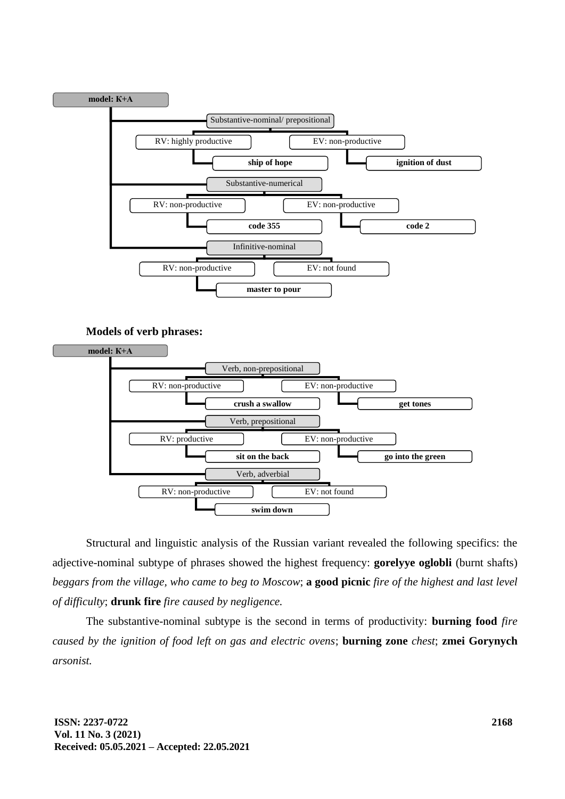

**Models of verb phrases:**



Structural and linguistic analysis of the Russian variant revealed the following specifics: the adjective-nominal subtype of phrases showed the highest frequency: **gorelyye oglobli** (burnt shafts) *beggars from the village, who came to beg to Moscow*; **a good picnic** *fire of the highest and last level of difficulty*; **drunk fire** *fire caused by negligence.*

The substantive-nominal subtype is the second in terms of productivity: **burning food** *fire caused by the ignition of food left on gas and electric ovens*; **burning zone** *chest*; **zmei Gorynych** *arsonist.*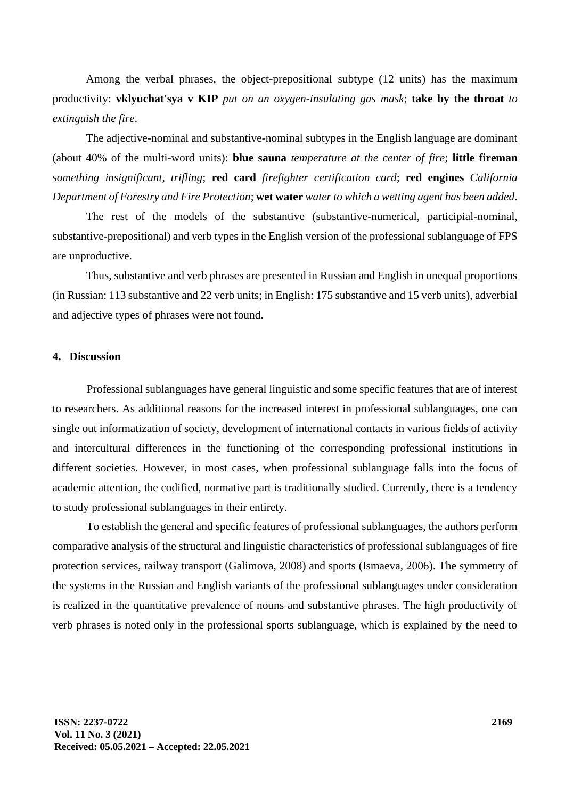Among the verbal phrases, the object-prepositional subtype (12 units) has the maximum productivity: **vklyuchat'sya v KIP** *put on an oxygen-insulating gas mask*; **take by the throat** *to extinguish the fire*.

The adjective-nominal and substantive-nominal subtypes in the English language are dominant (about 40% of the multi-word units): **blue sauna** *temperature at the center of fire*; **little fireman**  *something insignificant, trifling*; **red card** *firefighter certification card*; **red engines** *California Department of Forestry and Fire Protection*; **wet water** *water to which a wetting agent has been added*.

The rest of the models of the substantive (substantive-numerical, participial-nominal, substantive-prepositional) and verb types in the English version of the professional sublanguage of FPS are unproductive.

Thus, substantive and verb phrases are presented in Russian and English in unequal proportions (in Russian: 113 substantive and 22 verb units; in English: 175 substantive and 15 verb units), adverbial and adjective types of phrases were not found.

#### **4. Discussion**

Professional sublanguages have general linguistic and some specific features that are of interest to researchers. As additional reasons for the increased interest in professional sublanguages, one can single out informatization of society, development of international contacts in various fields of activity and intercultural differences in the functioning of the corresponding professional institutions in different societies. However, in most cases, when professional sublanguage falls into the focus of academic attention, the codified, normative part is traditionally studied. Currently, there is a tendency to study professional sublanguages in their entirety.

To establish the general and specific features of professional sublanguages, the authors perform comparative analysis of the structural and linguistic characteristics of professional sublanguages of fire protection services, railway transport (Galimova, 2008) and sports (Ismaeva, 2006). The symmetry of the systems in the Russian and English variants of the professional sublanguages under consideration is realized in the quantitative prevalence of nouns and substantive phrases. The high productivity of verb phrases is noted only in the professional sports sublanguage, which is explained by the need to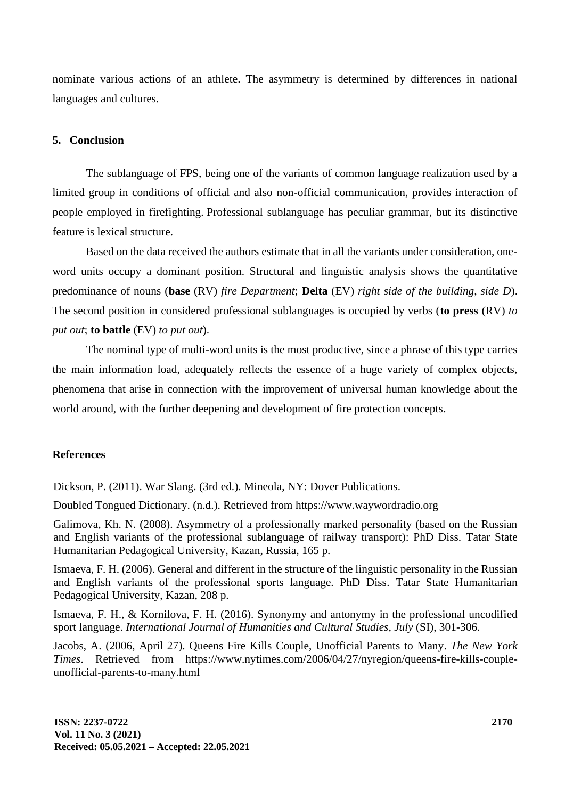nominate various actions of an athlete. The asymmetry is determined by differences in national languages and cultures.

## **5. Conclusion**

The sublanguage of FPS, being one of the variants of common language realization used by a limited group in conditions of official and also non-official communication, provides interaction of people employed in firefighting. Professional sublanguage has peculiar grammar, but its distinctive feature is lexical structure.

Based on the data received the authors estimate that in all the variants under consideration, oneword units occupy a dominant position. Structural and linguistic analysis shows the quantitative predominance of nouns (**base** (RV) *fire Department*; **Delta** (EV) *right side of the building, side D*). The second position in considered professional sublanguages is occupied by verbs (**to press** (RV) *to put out*; **to battle** (EV) *to put out*).

The nominal type of multi-word units is the most productive, since a phrase of this type carries the main information load, adequately reflects the essence of a huge variety of complex objects, phenomena that arise in connection with the improvement of universal human knowledge about the world around, with the further deepening and development of fire protection concepts.

## **References**

Dickson, P. (2011). War Slang. (3rd ed.). Mineola, NY: Dover Publications.

Doubled Tongued Dictionary. (n.d.). Retrieved from https://www.waywordradio.org

Galimova, Kh. N. (2008). Asymmetry of a professionally marked personality (based on the Russian and English variants of the professional sublanguage of railway transport): PhD Diss. Tatar State Humanitarian Pedagogical University, Kazan, Russia, 165 p.

Ismaeva, F. H. (2006). General and different in the structure of the linguistic personality in the Russian and English variants of the professional sports language. PhD Diss. Tatar State Humanitarian Pedagogical University, Kazan, 208 p.

Ismaeva, F. H., & Kornilova, F. H. (2016). Synonymy and antonymy in the professional uncodified sport language. *International Journal of Humanities and Cultural Studies, July* (SI), 301-306.

Jacobs, A. (2006, April 27). Queens Fire Kills Couple, Unofficial Parents to Many. *The New York Times*. Retrieved from https://www.nytimes.com/2006/04/27/nyregion/queens-fire-kills-coupleunofficial-parents-to-many.html